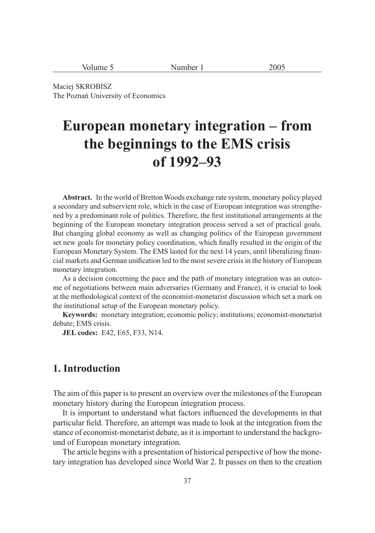| <b>NT</b><br>volume<br>$\sim$ | 200 <sup>5</sup><br>Number <sub>1</sub><br>$\tilde{ }$<br>$-1$ |
|-------------------------------|----------------------------------------------------------------|
|-------------------------------|----------------------------------------------------------------|

Maciej SKROBISZ The Poznań University of Economics

# **European monetary integration – from the beginnings to the EMS crisis of 1992–93**

**Abstract.** In the world of Bretton Woods exchange rate system, monetary policy played a secondary and subservient role, which in the case of European integration was strengthened by a predominant role of politics. Therefore, the first institutional arrangements at the beginning of the European monetary integration process served a set of practical goals. But changing global economy as well as changing politics of the European government set new goals for monetary policy coordination, which finally resulted in the origin of the European Monetary System. The EMS lasted for the next 14 years, until liberalizing financial markets and German unification led to the most severe crisis in the history of European monetary integration.

As a decision concerning the pace and the path of monetary integration was an outcome of negotiations between main adversaries (Germany and France), it is crucial to look at the methodological context of the economist-monetarist discussion which set a mark on the institutional setup of the European monetary policy.

**Keywords:** monetary integration; economic policy; institutions; economist-monetarist debate; EMS crisis.

**JEL codes:** E42, E65, F33, N14.

# **1. Introduction**

The aim of this paper is to present an overview over the milestones of the European monetary history during the European integration process.

It is important to understand what factors influenced the developments in that particular field. Therefore, an attempt was made to look at the integration from the stance of economist-monetarist debate, as it is important to understand the background of European monetary integration.

The article begins with a presentation of historical perspective of how the monetary integration has developed since World War 2. It passes on then to the creation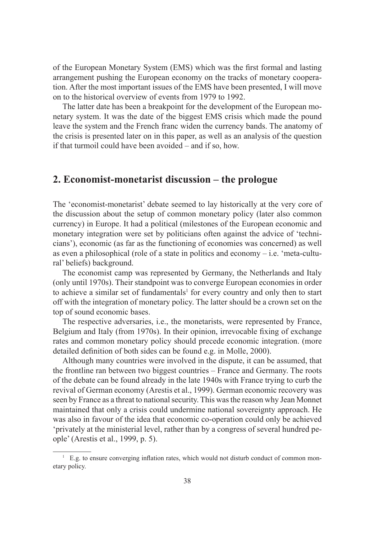of the European Monetary System (EMS) which was the first formal and lasting arrangement pushing the European economy on the tracks of monetary cooperation. After the most important issues of the EMS have been presented, I will move on to the historical overview of events from 1979 to 1992.

The latter date has been a breakpoint for the development of the European monetary system. It was the date of the biggest EMS crisis which made the pound leave the system and the French franc widen the currency bands. The anatomy of the crisis is presented later on in this paper, as well as an analysis of the question if that turmoil could have been avoided – and if so, how.

# **2. Economist-monetarist discussion – the prologue**

The 'economist-monetarist' debate seemed to lay historically at the very core of the discussion about the setup of common monetary policy (later also common currency) in Europe. It had a political (milestones of the European economic and monetary integration were set by politicians often against the advice of 'technicians'), economic (as far as the functioning of economies was concerned) as well as even a philosophical (role of a state in politics and economy  $-$  i.e. 'meta-cultural' beliefs) background.

The economist camp was represented by Germany, the Netherlands and Italy (only until 1970s). Their standpoint was to converge European economies in order to achieve a similar set of fundamentals<sup>1</sup> for every country and only then to start off with the integration of monetary policy. The latter should be a crown set on the top of sound economic bases.

The respective adversaries, i.e., the monetarists, were represented by France, Belgium and Italy (from 1970s). In their opinion, irrevocable fixing of exchange rates and common monetary policy should precede economic integration. (more detailed definition of both sides can be found e.g. in Molle, 2000).

Although many countries were involved in the dispute, it can be assumed, that the frontline ran between two biggest countries – France and Germany. The roots of the debate can be found already in the late 1940s with France trying to curb the revival of German economy (Arestis et al., 1999). German economic recovery was seen by France as a threat to national security. This was the reason why Jean Monnet maintained that only a crisis could undermine national sovereignty approach. He was also in favour of the idea that economic co-operation could only be achieved 'privately at the ministerial level, rather than by a congress of several hundred people' (Arestis et al., 1999, p. 5).

 $<sup>1</sup>$  E.g. to ensure converging inflation rates, which would not disturb conduct of common mon-</sup> etary policy.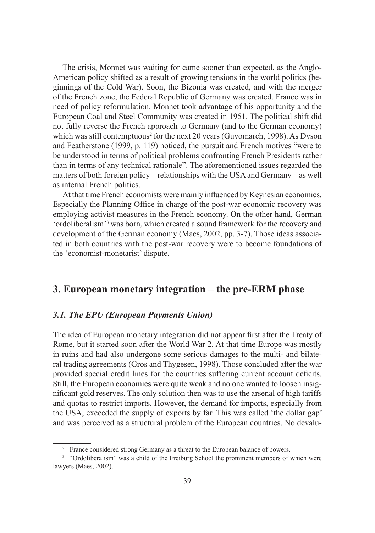The crisis, Monnet was waiting for came sooner than expected, as the Anglo-American policy shifted as a result of growing tensions in the world politics (beginnings of the Cold War). Soon, the Bizonia was created, and with the merger of the French zone, the Federal Republic of Germany was created. France was in need of policy reformulation. Monnet took advantage of his opportunity and the European Coal and Steel Community was created in 1951. The political shift did not fully reverse the French approach to Germany (and to the German economy) which was still contemptuous<sup>2</sup> for the next 20 years (Guyomarch, 1998). As Dyson and Featherstone (1999, p. 119) noticed, the pursuit and French motives "were to be understood in terms of political problems confronting French Presidents rather than in terms of any technical rationale". The aforementioned issues regarded the matters of both foreign policy – relationships with the USA and Germany – as well as internal French politics.

At that time French economists were mainly influenced by Keynesian economics. Especially the Planning Office in charge of the post-war economic recovery was employing activist measures in the French economy. On the other hand, German 'ordoliberalism'3 was born, which created a sound framework for the recovery and development of the German economy (Maes, 2002, pp. 3-7). Those ideas associated in both countries with the post-war recovery were to become foundations of the 'economist-monetarist' dispute.

# **3. European monetary integration – the pre-ERM phase**

## *3.1. The EPU (European Payments Union)*

The idea of European monetary integration did not appear first after the Treaty of Rome, but it started soon after the World War 2. At that time Europe was mostly in ruins and had also undergone some serious damages to the multi- and bilateral trading agreements (Gros and Thygesen, 1998). Those concluded after the war provided special credit lines for the countries suffering current account deficits. Still, the European economies were quite weak and no one wanted to loosen insignificant gold reserves. The only solution then was to use the arsenal of high tariffs and quotas to restrict imports. However, the demand for imports, especially from the USA, exceeded the supply of exports by far. This was called 'the dollar gap' and was perceived as a structural problem of the European countries. No devalu-

<sup>&</sup>lt;sup>2</sup> France considered strong Germany as a threat to the European balance of powers.

<sup>&</sup>lt;sup>3</sup> "Ordoliberalism" was a child of the Freiburg School the prominent members of which were lawyers (Maes, 2002).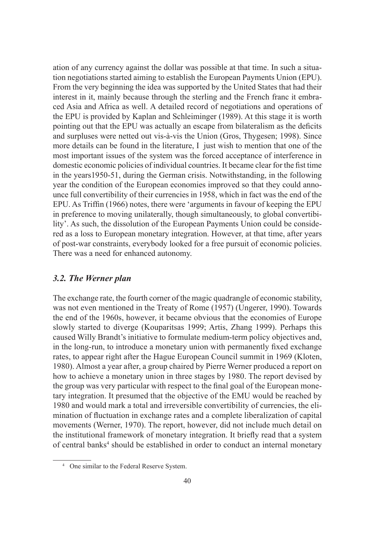ation of any currency against the dollar was possible at that time. In such a situation negotiations started aiming to establish the European Payments Union (EPU). From the very beginning the idea was supported by the United States that had their interest in it, mainly because through the sterling and the French franc it embraced Asia and Africa as well. A detailed record of negotiations and operations of the EPU is provided by Kaplan and Schleiminger (1989). At this stage it is worth pointing out that the EPU was actually an escape from bilateralism as the deficits and surpluses were netted out vis-à-vis the Union (Gros, Thygesen; 1998). Since more details can be found in the literature, I just wish to mention that one of the most important issues of the system was the forced acceptance of interference in domestic economic policies of individual countries. It became clear for the fist time in the years1950-51, during the German crisis. Notwithstanding, in the following year the condition of the European economies improved so that they could announce full convertibility of their currencies in 1958, which in fact was the end of the EPU. As Triffin (1966) notes, there were 'arguments in favour of keeping the EPU in preference to moving unilaterally, though simultaneously, to global convertibility'. As such, the dissolution of the European Payments Union could be considered as a loss to European monetary integration. However, at that time, after years of post-war constraints, everybody looked for a free pursuit of economic policies. There was a need for enhanced autonomy.

## *3.2. The Werner plan*

The exchange rate, the fourth corner of the magic quadrangle of economic stability, was not even mentioned in the Treaty of Rome (1957) (Ungerer, 1990). Towards the end of the 1960s, however, it became obvious that the economies of Europe slowly started to diverge (Kouparitsas 1999; Artis, Zhang 1999). Perhaps this caused Willy Brandt's initiative to formulate medium-term policy objectives and, in the long-run, to introduce a monetary union with permanently fixed exchange rates, to appear right after the Hague European Council summit in 1969 (Kloten, 1980). Almost a year after, a group chaired by Pierre Werner produced a report on how to achieve a monetary union in three stages by 1980. The report devised by the group was very particular with respect to the final goal of the European monetary integration. It presumed that the objective of the EMU would be reached by 1980 and would mark a total and irreversible convertibility of currencies, the elimination of fluctuation in exchange rates and a complete liberalization of capital movements (Werner, 1970). The report, however, did not include much detail on the institutional framework of monetary integration. It briefly read that a system of central banks<sup>4</sup> should be established in order to conduct an internal monetary

<sup>4</sup> One similar to the Federal Reserve System.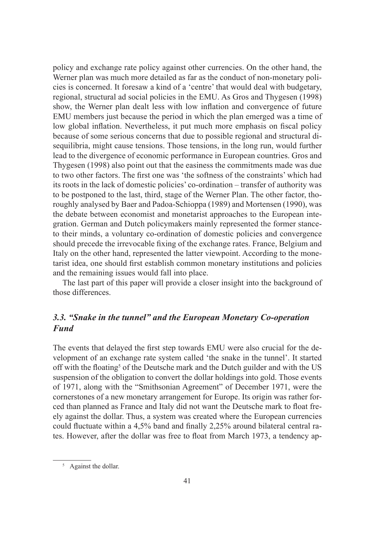policy and exchange rate policy against other currencies. On the other hand, the Werner plan was much more detailed as far as the conduct of non-monetary policies is concerned. It foresaw a kind of a 'centre' that would deal with budgetary, regional, structural ad social policies in the EMU. As Gros and Thygesen (1998) show, the Werner plan dealt less with low inflation and convergence of future EMU members just because the period in which the plan emerged was a time of low global inflation. Nevertheless, it put much more emphasis on fiscal policy because of some serious concerns that due to possible regional and structural disequilibria, might cause tensions. Those tensions, in the long run, would further lead to the divergence of economic performance in European countries. Gros and Thygesen (1998) also point out that the easiness the commitments made was due to two other factors. The first one was 'the softness of the constraints' which had its roots in the lack of domestic policies' co-ordination – transfer of authority was to be postponed to the last, third, stage of the Werner Plan. The other factor, thoroughly analysed by Baer and Padoa-Schioppa (1989) and Mortensen (1990), was the debate between economist and monetarist approaches to the European integration. German and Dutch policymakers mainly represented the former stanceto their minds, a voluntary co-ordination of domestic policies and convergence should precede the irrevocable fixing of the exchange rates. France, Belgium and Italy on the other hand, represented the latter viewpoint. According to the monetarist idea, one should first establish common monetary institutions and policies and the remaining issues would fall into place.

The last part of this paper will provide a closer insight into the background of those differences.

## *3.3. "Snake in the tunnel" and the European Monetary Co-operation Fund*

The events that delayed the first step towards EMU were also crucial for the development of an exchange rate system called 'the snake in the tunnel'. It started off with the floating<sup>5</sup> of the Deutsche mark and the Dutch guilder and with the US suspension of the obligation to convert the dollar holdings into gold. Those events of 1971, along with the "Smithsonian Agreement" of December 1971, were the cornerstones of a new monetary arrangement for Europe. Its origin was rather forced than planned as France and Italy did not want the Deutsche mark to float freely against the dollar. Thus, a system was created where the European currencies could fluctuate within a 4,5% band and finally 2,25% around bilateral central rates. However, after the dollar was free to float from March 1973, a tendency ap-

<sup>5</sup> Against the dollar.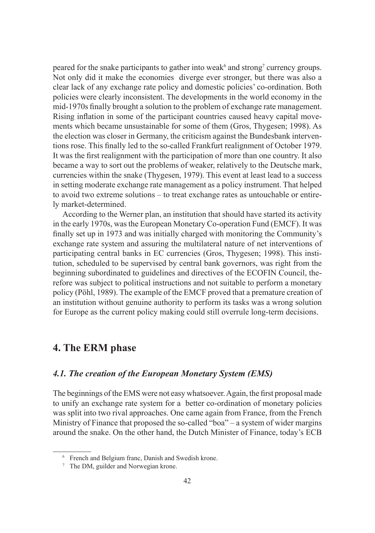peared for the snake participants to gather into weak<sup>6</sup> and strong<sup>7</sup> currency groups. Not only did it make the economies diverge ever stronger, but there was also a clear lack of any exchange rate policy and domestic policies' co-ordination. Both policies were clearly inconsistent. The developments in the world economy in the mid-1970s finally brought a solution to the problem of exchange rate management. Rising inflation in some of the participant countries caused heavy capital movements which became unsustainable for some of them (Gros, Thygesen; 1998). As the election was closer in Germany, the criticism against the Bundesbank interventions rose. This finally led to the so-called Frankfurt realignment of October 1979. It was the first realignment with the participation of more than one country. It also became a way to sort out the problems of weaker, relatively to the Deutsche mark, currencies within the snake (Thygesen, 1979). This event at least lead to a success in setting moderate exchange rate management as a policy instrument. That helped to avoid two extreme solutions – to treat exchange rates as untouchable or entirely market-determined.

According to the Werner plan, an institution that should have started its activity in the early 1970s, was the European Monetary Co-operation Fund (EMCF). It was finally set up in 1973 and was initially charged with monitoring the Community's exchange rate system and assuring the multilateral nature of net interventions of participating central banks in EC currencies (Gros, Thygesen; 1998). This institution, scheduled to be supervised by central bank governors, was right from the beginning subordinated to guidelines and directives of the ECOFIN Council, therefore was subject to political instructions and not suitable to perform a monetary policy (Pöhl, 1989). The example of the EMCF proved that a premature creation of an institution without genuine authority to perform its tasks was a wrong solution for Europe as the current policy making could still overrule long-term decisions.

# **4. The ERM phase**

## *4.1. The creation of the European Monetary System (EMS)*

The beginnings of the EMS were not easy whatsoever. Again, the first proposal made to unify an exchange rate system for a better co-ordination of monetary policies was split into two rival approaches. One came again from France, from the French Ministry of Finance that proposed the so-called "boa" – a system of wider margins around the snake. On the other hand, the Dutch Minister of Finance, today's ECB

<sup>6</sup> French and Belgium franc, Danish and Swedish krone.

<sup>7</sup> The DM, guilder and Norwegian krone.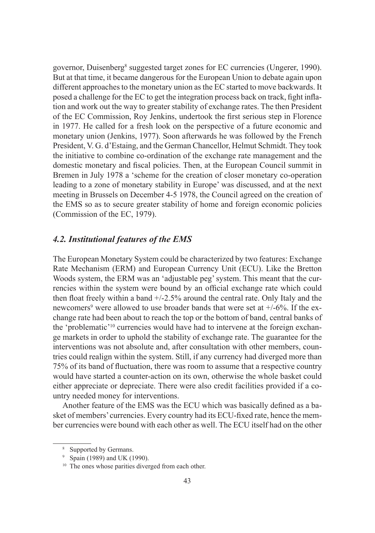governor, Duisenberg<sup>8</sup> suggested target zones for EC currencies (Ungerer, 1990). But at that time, it became dangerous for the European Union to debate again upon different approaches to the monetary union as the EC started to move backwards. It posed a challenge for the EC to get the integration process back on track, fight inflation and work out the way to greater stability of exchange rates. The then President of the EC Commission, Roy Jenkins, undertook the first serious step in Florence in 1977. He called for a fresh look on the perspective of a future economic and monetary union (Jenkins, 1977). Soon afterwards he was followed by the French President, V. G. d'Estaing, and the German Chancellor, Helmut Schmidt. They took the initiative to combine co-ordination of the exchange rate management and the domestic monetary and fiscal policies. Then, at the European Council summit in Bremen in July 1978 a 'scheme for the creation of closer monetary co-operation leading to a zone of monetary stability in Europe' was discussed, and at the next meeting in Brussels on December 4-5 1978, the Council agreed on the creation of the EMS so as to secure greater stability of home and foreign economic policies (Commission of the EC, 1979).

## *4.2. Institutional features of the EMS*

The European Monetary System could be characterized by two features: Exchange Rate Mechanism (ERM) and European Currency Unit (ECU). Like the Bretton Woods system, the ERM was an 'adjustable peg' system. This meant that the currencies within the system were bound by an official exchange rate which could then float freely within a band  $+/-2.5\%$  around the central rate. Only Italy and the newcomers<sup>9</sup> were allowed to use broader bands that were set at  $+/-6$ %. If the exchange rate had been about to reach the top or the bottom of band, central banks of the 'problematic'10 currencies would have had to intervene at the foreign exchange markets in order to uphold the stability of exchange rate. The guarantee for the interventions was not absolute and, after consultation with other members, countries could realign within the system. Still, if any currency had diverged more than 75% of its band of fluctuation, there was room to assume that a respective country would have started a counter-action on its own, otherwise the whole basket could either appreciate or depreciate. There were also credit facilities provided if a country needed money for interventions.

Another feature of the EMS was the ECU which was basically defined as a basket of members' currencies. Every country had its ECU-fixed rate, hence the member currencies were bound with each other as well. The ECU itself had on the other

<sup>8</sup> Supported by Germans.

<sup>9</sup> Spain (1989) and UK (1990).

<sup>&</sup>lt;sup>10</sup> The ones whose parities diverged from each other.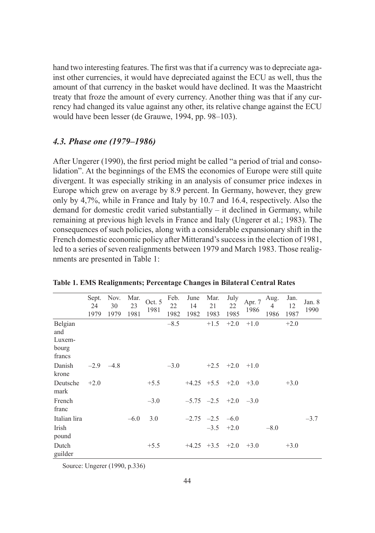hand two interesting features. The first was that if a currency was to depreciate against other currencies, it would have depreciated against the ECU as well, thus the amount of that currency in the basket would have declined. It was the Maastricht treaty that froze the amount of every currency. Another thing was that if any currency had changed its value against any other, its relative change against the ECU would have been lesser (de Grauwe, 1994, pp. 98–103).

## *4.3. Phase one (1979–1986)*

After Ungerer (1990), the first period might be called "a period of trial and consolidation". At the beginnings of the EMS the economies of Europe were still quite divergent. It was especially striking in an analysis of consumer price indexes in Europe which grew on average by 8.9 percent. In Germany, however, they grew only by 4,7%, while in France and Italy by 10.7 and 16.4, respectively. Also the demand for domestic credit varied substantially – it declined in Germany, while remaining at previous high levels in France and Italy (Ungerer et al.; 1983). The consequences of such policies, along with a considerable expansionary shift in the French domestic economic policy after Mitterand's success in the election of 1981, led to a series of seven realignments between 1979 and March 1983. Those realignments are presented in Table 1:

|                                             | Sept.<br>24<br>1979 | Nov.<br>30<br>1979 | Mar.<br>23<br>1981 | Oct. 5<br>1981 | Feb.<br>22<br>1982 | June<br>14<br>1982 | Mar.<br>21<br>1983           | July<br>22<br>1985 | Apr. 7<br>1986 | Aug.<br>4<br>1986 | Jan.<br>12<br>1987 | Jan. 8<br>1990 |
|---------------------------------------------|---------------------|--------------------|--------------------|----------------|--------------------|--------------------|------------------------------|--------------------|----------------|-------------------|--------------------|----------------|
| Belgian<br>and<br>Luxem-<br>bourg<br>francs |                     |                    |                    |                | $-8.5$             |                    | $+1.5$                       | $+2.0$             | $+1.0$         |                   | $+2.0$             |                |
| Danish<br>krone                             |                     | $-2.9$ $-4.8$      |                    |                | $-3.0$             |                    |                              | $+2.5$ $+2.0$      | $+1.0$         |                   |                    |                |
| Deutsche<br>mark                            | $+2.0$              |                    |                    | $+5.5$         |                    |                    | $+4.25$ $+5.5$ $+2.0$        |                    | $+3.0$         |                   | $+3.0$             |                |
| French<br>franc                             |                     |                    |                    | $-3.0$         |                    |                    | $-5.75$ $-2.5$ $+2.0$ $-3.0$ |                    |                |                   |                    |                |
| Italian lira                                |                     |                    | $-6.0$             | 3.0            |                    |                    | $-2.75$ $-2.5$ $-6.0$        |                    |                |                   |                    | $-3.7$         |
| Irish<br>pound                              |                     |                    |                    |                |                    |                    |                              | $-3.5$ $+2.0$      |                | $-8.0$            |                    |                |
| Dutch<br>guilder                            |                     |                    |                    | $+5.5$         |                    |                    | $+4.25$ $+3.5$               | $+2.0$             | $+3.0$         |                   | $+3.0$             |                |

**Table 1. EMS Realignments; Percentage Changes in Bilateral Central Rates**

Source: Ungerer (1990, p.336)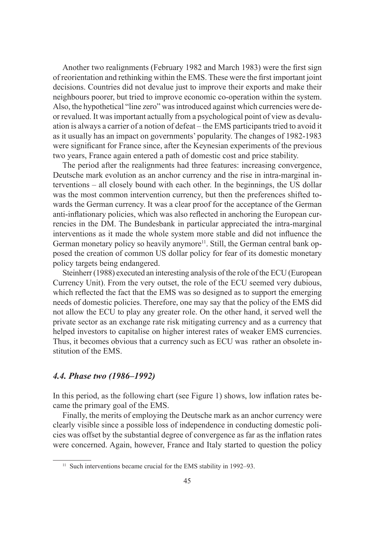Another two realignments (February 1982 and March 1983) were the first sign of reorientation and rethinking within the EMS. These were the first important joint decisions. Countries did not devalue just to improve their exports and make their neighbours poorer, but tried to improve economic co-operation within the system. Also, the hypothetical "line zero" was introduced against which currencies were deor revalued. It was important actually from a psychological point of view as devaluation is always a carrier of a notion of defeat – the EMS participants tried to avoid it as it usually has an impact on governments' popularity. The changes of 1982-1983 were significant for France since, after the Keynesian experiments of the previous two years, France again entered a path of domestic cost and price stability.

The period after the realignments had three features: increasing convergence, Deutsche mark evolution as an anchor currency and the rise in intra-marginal interventions – all closely bound with each other. In the beginnings, the US dollar was the most common intervention currency, but then the preferences shifted towards the German currency. It was a clear proof for the acceptance of the German anti-inflationary policies, which was also reflected in anchoring the European currencies in the DM. The Bundesbank in particular appreciated the intra-marginal interventions as it made the whole system more stable and did not influence the German monetary policy so heavily anymore<sup>11</sup>. Still, the German central bank opposed the creation of common US dollar policy for fear of its domestic monetary policy targets being endangered.

Steinherr (1988) executed an interesting analysis of the role of the ECU (European Currency Unit). From the very outset, the role of the ECU seemed very dubious, which reflected the fact that the EMS was so designed as to support the emerging needs of domestic policies. Therefore, one may say that the policy of the EMS did not allow the ECU to play any greater role. On the other hand, it served well the private sector as an exchange rate risk mitigating currency and as a currency that helped investors to capitalise on higher interest rates of weaker EMS currencies. Thus, it becomes obvious that a currency such as ECU was rather an obsolete institution of the EMS.

## *4.4. Phase two (1986–1992)*

In this period, as the following chart (see Figure 1) shows, low inflation rates became the primary goal of the EMS.

Finally, the merits of employing the Deutsche mark as an anchor currency were clearly visible since a possible loss of independence in conducting domestic policies was offset by the substantial degree of convergence as far as the inflation rates were concerned. Again, however, France and Italy started to question the policy

<sup>&</sup>lt;sup>11</sup> Such interventions became crucial for the EMS stability in 1992–93.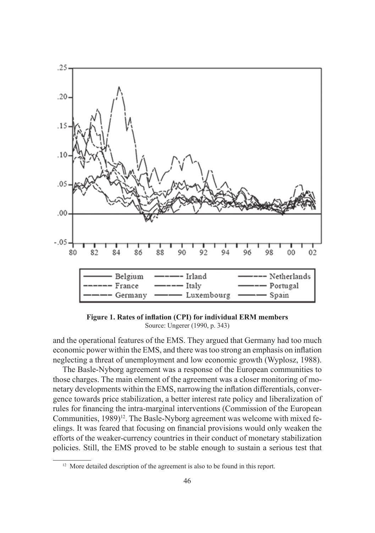

Figure 1. Rates of inflation (CPI) for individual ERM members Source: Ungerer (1990, p. 343)

and the operational features of the EMS. They argued that Germany had too much economic power within the EMS, and there was too strong an emphasis on inflation neglecting a threat of unemployment and low economic growth (Wyplosz, 1988).

The Basle-Nyborg agreement was a response of the European communities to those charges. The main element of the agreement was a closer monitoring of monetary developments within the EMS, narrowing the inflation differentials, convergence towards price stabilization, a better interest rate policy and liberalization of rules for financing the intra-marginal interventions (Commission of the European Communities, 1989)<sup>12</sup>. The Basle-Nyborg agreement was welcome with mixed feelings. It was feared that focusing on financial provisions would only weaken the efforts of the weaker-currency countries in their conduct of monetary stabilization policies. Still, the EMS proved to be stable enough to sustain a serious test that

<sup>&</sup>lt;sup>12</sup> More detailed description of the agreement is also to be found in this report.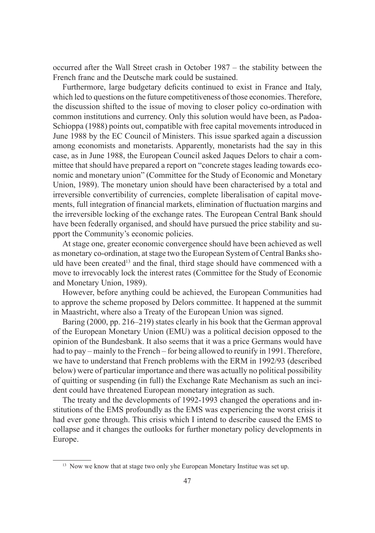occurred after the Wall Street crash in October 1987 – the stability between the French franc and the Deutsche mark could be sustained.

Furthermore, large budgetary deficits continued to exist in France and Italy, which led to questions on the future competitiveness of those economies. Therefore, the discussion shifted to the issue of moving to closer policy co-ordination with common institutions and currency. Only this solution would have been, as Padoa-Schioppa (1988) points out, compatible with free capital movements introduced in June 1988 by the EC Council of Ministers. This issue sparked again a discussion among economists and monetarists. Apparently, monetarists had the say in this case, as in June 1988, the European Council asked Jaques Delors to chair a committee that should have prepared a report on "concrete stages leading towards economic and monetary union" (Committee for the Study of Economic and Monetary Union, 1989). The monetary union should have been characterised by a total and irreversible convertibility of currencies, complete liberalisation of capital movements, full integration of financial markets, elimination of fluctuation margins and the irreversible locking of the exchange rates. The European Central Bank should have been federally organised, and should have pursued the price stability and support the Community's economic policies.

At stage one, greater economic convergence should have been achieved as well as monetary co-ordination, at stage two the European System of Central Banks should have been created<sup>13</sup> and the final, third stage should have commenced with a move to irrevocably lock the interest rates (Committee for the Study of Economic and Monetary Union, 1989).

However, before anything could be achieved, the European Communities had to approve the scheme proposed by Delors committee. It happened at the summit in Maastricht, where also a Treaty of the European Union was signed.

Baring (2000, pp. 216–219) states clearly in his book that the German approval of the European Monetary Union (EMU) was a political decision opposed to the opinion of the Bundesbank. It also seems that it was a price Germans would have had to pay – mainly to the French – for being allowed to reunify in 1991. Therefore, we have to understand that French problems with the ERM in 1992/93 (described below) were of particular importance and there was actually no political possibility of quitting or suspending (in full) the Exchange Rate Mechanism as such an incident could have threatened European monetary integration as such.

The treaty and the developments of 1992-1993 changed the operations and institutions of the EMS profoundly as the EMS was experiencing the worst crisis it had ever gone through. This crisis which I intend to describe caused the EMS to collapse and it changes the outlooks for further monetary policy developments in Europe.

<sup>&</sup>lt;sup>13</sup> Now we know that at stage two only yhe European Monetary Institue was set up.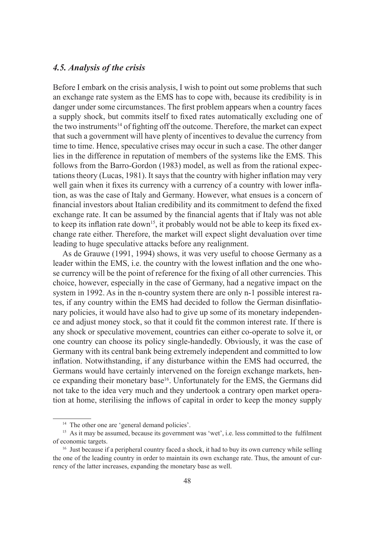#### *4.5. Analysis of the crisis*

Before I embark on the crisis analysis, I wish to point out some problems that such an exchange rate system as the EMS has to cope with, because its credibility is in danger under some circumstances. The first problem appears when a country faces a supply shock, but commits itself to fixed rates automatically excluding one of the two instruments<sup>14</sup> of fighting off the outcome. Therefore, the market can expect that such a government will have plenty of incentives to devalue the currency from time to time. Hence, speculative crises may occur in such a case. The other danger lies in the difference in reputation of members of the systems like the EMS. This follows from the Barro-Gordon (1983) model, as well as from the rational expectations theory (Lucas, 1981). It says that the country with higher inflation may very well gain when it fixes its currency with a currency of a country with lower inflation, as was the case of Italy and Germany. However, what ensues is a concern of financial investors about Italian credibility and its commitment to defend the fixed exchange rate. It can be assumed by the financial agents that if Italy was not able to keep its inflation rate down<sup>15</sup>, it probably would not be able to keep its fixed exchange rate either. Therefore, the market will expect slight devaluation over time leading to huge speculative attacks before any realignment.

As de Grauwe (1991, 1994) shows, it was very useful to choose Germany as a leader within the EMS, i.e. the country with the lowest inflation and the one whose currency will be the point of reference for the fixing of all other currencies. This choice, however, especially in the case of Germany, had a negative impact on the system in 1992. As in the n-country system there are only n-1 possible interest rates, if any country within the EMS had decided to follow the German disinflationary policies, it would have also had to give up some of its monetary independence and adjust money stock, so that it could fit the common interest rate. If there is any shock or speculative movement, countries can either co-operate to solve it, or one country can choose its policy single-handedly. Obviously, it was the case of Germany with its central bank being extremely independent and committed to low inflation. Notwithstanding, if any disturbance within the EMS had occurred, the Germans would have certainly intervened on the foreign exchange markets, hence expanding their monetary base16. Unfortunately for the EMS, the Germans did not take to the idea very much and they undertook a contrary open market operation at home, sterilising the inflows of capital in order to keep the money supply

<sup>&</sup>lt;sup>14</sup> The other one are 'general demand policies'.

 $15$  As it may be assumed, because its government was 'wet', i.e. less committed to the fulfilment of economic targets.

<sup>&</sup>lt;sup>16</sup> Just because if a peripheral country faced a shock, it had to buy its own currency while selling the one of the leading country in order to maintain its own exchange rate. Thus, the amount of currency of the latter increases, expanding the monetary base as well.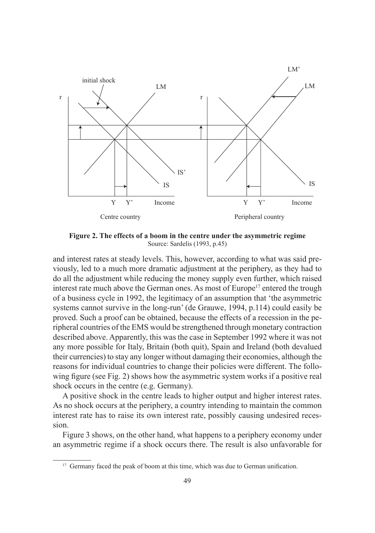

**Figure 2. The effects of a boom in the centre under the asymmetric regime** Source: Sardelis (1993, p.45)

and interest rates at steady levels. This, however, according to what was said previously, led to a much more dramatic adjustment at the periphery, as they had to do all the adjustment while reducing the money supply even further, which raised interest rate much above the German ones. As most of Europe<sup>17</sup> entered the trough of a business cycle in 1992, the legitimacy of an assumption that 'the asymmetric systems cannot survive in the long-run' (de Grauwe, 1994, p.114) could easily be proved. Such a proof can be obtained, because the effects of a recession in the peripheral countries of the EMS would be strengthened through monetary contraction described above. Apparently, this was the case in September 1992 where it was not any more possible for Italy, Britain (both quit), Spain and Ireland (both devalued their currencies) to stay any longer without damaging their economies, although the reasons for individual countries to change their policies were different. The following figure (see Fig. 2) shows how the asymmetric system works if a positive real shock occurs in the centre (e.g. Germany).

A positive shock in the centre leads to higher output and higher interest rates. As no shock occurs at the periphery, a country intending to maintain the common interest rate has to raise its own interest rate, possibly causing undesired recession.

Figure 3 shows, on the other hand, what happens to a periphery economy under an asymmetric regime if a shock occurs there. The result is also unfavorable for

<sup>&</sup>lt;sup>17</sup> Germany faced the peak of boom at this time, which was due to German unification.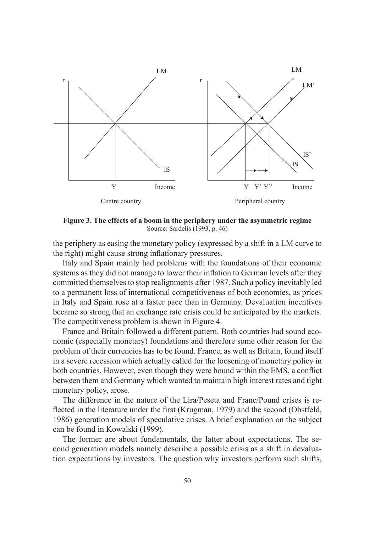

**Figure 3. The effects of a boom in the periphery under the asymmetric regime** Source: Sardelis (1993, p. 46)

the periphery as easing the monetary policy (expressed by a shift in a LM curve to the right) might cause strong inflationary pressures.

Italy and Spain mainly had problems with the foundations of their economic systems as they did not manage to lower their inflation to German levels after they committed themselves to stop realignments after 1987. Such a policy inevitably led to a permanent loss of international competitiveness of both economies, as prices in Italy and Spain rose at a faster pace than in Germany. Devaluation incentives became so strong that an exchange rate crisis could be anticipated by the markets. The competitiveness problem is shown in Figure 4.

France and Britain followed a different pattern. Both countries had sound economic (especially monetary) foundations and therefore some other reason for the problem of their currencies has to be found. France, as well as Britain, found itself in a severe recession which actually called for the loosening of monetary policy in both countries. However, even though they were bound within the EMS, a conflict between them and Germany which wanted to maintain high interest rates and tight monetary policy, arose.

The difference in the nature of the Lira/Peseta and Franc/Pound crises is reflected in the literature under the first (Krugman, 1979) and the second (Obstfeld, 1986) generation models of speculative crises. A brief explanation on the subject can be found in Kowalski (1999).

The former are about fundamentals, the latter about expectations. The second generation models namely describe a possible crisis as a shift in devaluation expectations by investors. The question why investors perform such shifts,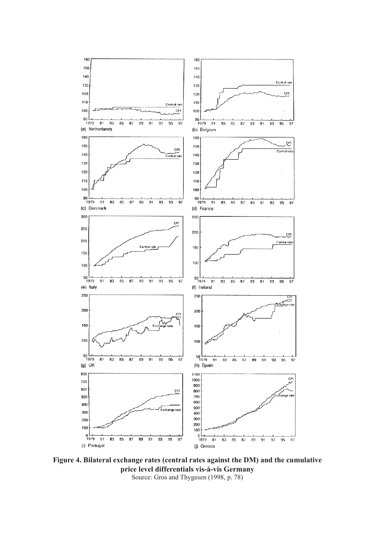

**Figure 4. Bilateral exchange rates (central rates against the DM) and the cumulative price level differentials vis-à-vis Germany** Source: Gros and Thygesen (1998, p. 78)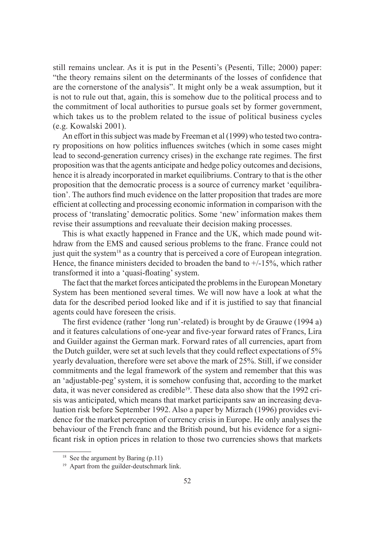still remains unclear. As it is put in the Pesenti's (Pesenti, Tille; 2000) paper: "the theory remains silent on the determinants of the losses of confidence that are the cornerstone of the analysis". It might only be a weak assumption, but it is not to rule out that, again, this is somehow due to the political process and to the commitment of local authorities to pursue goals set by former government, which takes us to the problem related to the issue of political business cycles (e.g. Kowalski 2001).

An effort in this subject was made by Freeman et al (1999) who tested two contrary propositions on how politics influences switches (which in some cases might lead to second-generation currency crises) in the exchange rate regimes. The first proposition was that the agents anticipate and hedge policy outcomes and decisions, hence it is already incorporated in market equilibriums. Contrary to that is the other proposition that the democratic process is a source of currency market 'equilibration'. The authors find much evidence on the latter proposition that trades are more efficient at collecting and processing economic information in comparison with the process of 'translating' democratic politics. Some 'new' information makes them revise their assumptions and reevaluate their decision making processes.

This is what exactly happened in France and the UK, which made pound withdraw from the EMS and caused serious problems to the franc. France could not just quit the system<sup>18</sup> as a country that is perceived a core of European integration. Hence, the finance ministers decided to broaden the band to  $+/-15%$ , which rather transformed it into a 'quasi-floating' system.

The fact that the market forces anticipated the problems in the European Monetary System has been mentioned several times. We will now have a look at what the data for the described period looked like and if it is justified to say that financial agents could have foreseen the crisis.

The first evidence (rather 'long run'-related) is brought by de Grauwe (1994 a) and it features calculations of one-year and five-year forward rates of Francs, Lira and Guilder against the German mark. Forward rates of all currencies, apart from the Dutch guilder, were set at such levels that they could reflect expectations of 5% yearly devaluation, therefore were set above the mark of 25%. Still, if we consider commitments and the legal framework of the system and remember that this was an 'adjustable-peg' system, it is somehow confusing that, according to the market data, it was never considered as credible<sup>19</sup>. These data also show that the 1992 crisis was anticipated, which means that market participants saw an increasing devaluation risk before September 1992. Also a paper by Mizrach (1996) provides evidence for the market perception of currency crisis in Europe. He only analyses the behaviour of the French franc and the British pound, but his evidence for a significant risk in option prices in relation to those two currencies shows that markets

<sup>&</sup>lt;sup>18</sup> See the argument by Baring  $(p.11)$ 

<sup>&</sup>lt;sup>19</sup> Apart from the guilder-deutschmark link.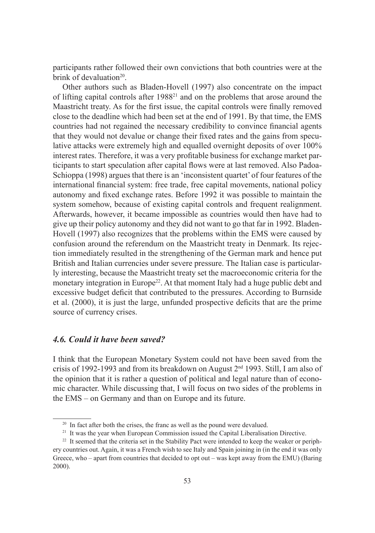participants rather followed their own convictions that both countries were at the brink of devaluation $20$ .

Other authors such as Bladen-Hovell (1997) also concentrate on the impact of lifting capital controls after 198821 and on the problems that arose around the Maastricht treaty. As for the first issue, the capital controls were finally removed close to the deadline which had been set at the end of 1991. By that time, the EMS countries had not regained the necessary credibility to convince financial agents that they would not devalue or change their fixed rates and the gains from speculative attacks were extremely high and equalled overnight deposits of over 100% interest rates. Therefore, it was a very profitable business for exchange market participants to start speculation after capital flows were at last removed. Also Padoa-Schioppa (1998) argues that there is an 'inconsistent quartet' of four features of the international financial system: free trade, free capital movements, national policy autonomy and fixed exchange rates. Before 1992 it was possible to maintain the system somehow, because of existing capital controls and frequent realignment. Afterwards, however, it became impossible as countries would then have had to give up their policy autonomy and they did not want to go that far in 1992. Bladen-Hovell (1997) also recognizes that the problems within the EMS were caused by confusion around the referendum on the Maastricht treaty in Denmark. Its rejection immediately resulted in the strengthening of the German mark and hence put British and Italian currencies under severe pressure. The Italian case is particularly interesting, because the Maastricht treaty set the macroeconomic criteria for the monetary integration in Europe<sup>22</sup>. At that moment Italy had a huge public debt and excessive budget deficit that contributed to the pressures. According to Burnside et al.  $(2000)$ , it is just the large, unfunded prospective deficits that are the prime source of currency crises.

## *4.6. Could it have been saved?*

I think that the European Monetary System could not have been saved from the crisis of 1992-1993 and from its breakdown on August 2nd 1993. Still, I am also of the opinion that it is rather a question of political and legal nature than of economic character. While discussing that, I will focus on two sides of the problems in the EMS – on Germany and than on Europe and its future.

<sup>&</sup>lt;sup>20</sup> In fact after both the crises, the franc as well as the pound were devalued.

<sup>&</sup>lt;sup>21</sup> It was the year when European Commission issued the Capital Liberalisation Directive.

<sup>&</sup>lt;sup>22</sup> It seemed that the criteria set in the Stability Pact were intended to keep the weaker or periphery countries out. Again, it was a French wish to see Italy and Spain joining in (in the end it was only Greece, who – apart from countries that decided to opt out – was kept away from the EMU) (Baring 2000).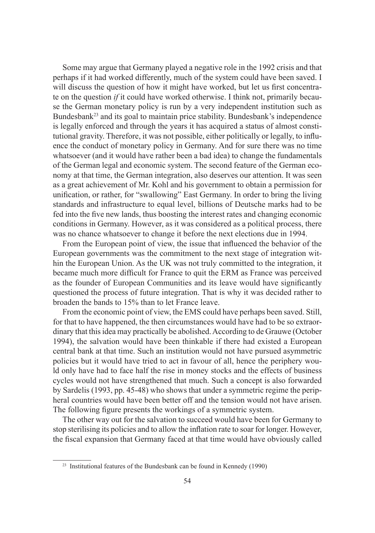Some may argue that Germany played a negative role in the 1992 crisis and that perhaps if it had worked differently, much of the system could have been saved. I will discuss the question of how it might have worked, but let us first concentrate on the question *if* it could have worked otherwise. I think not, primarily because the German monetary policy is run by a very independent institution such as Bundesbank<sup>23</sup> and its goal to maintain price stability. Bundesbank's independence is legally enforced and through the years it has acquired a status of almost constitutional gravity. Therefore, it was not possible, either politically or legally, to influence the conduct of monetary policy in Germany. And for sure there was no time whatsoever (and it would have rather been a bad idea) to change the fundamentals of the German legal and economic system. The second feature of the German economy at that time, the German integration, also deserves our attention. It was seen as a great achievement of Mr. Kohl and his government to obtain a permission for unification, or rather, for "swallowing" East Germany. In order to bring the living standards and infrastructure to equal level, billions of Deutsche marks had to be fed into the five new lands, thus boosting the interest rates and changing economic conditions in Germany. However, as it was considered as a political process, there was no chance whatsoever to change it before the next elections due in 1994.

From the European point of view, the issue that influenced the behavior of the European governments was the commitment to the next stage of integration within the European Union. As the UK was not truly committed to the integration, it became much more difficult for France to quit the ERM as France was perceived as the founder of European Communities and its leave would have significantly questioned the process of future integration. That is why it was decided rather to broaden the bands to 15% than to let France leave.

From the economic point of view, the EMS could have perhaps been saved. Still, for that to have happened, the then circumstances would have had to be so extraordinary that this idea may practically be abolished. According to de Grauwe (October 1994), the salvation would have been thinkable if there had existed a European central bank at that time. Such an institution would not have pursued asymmetric policies but it would have tried to act in favour of all, hence the periphery would only have had to face half the rise in money stocks and the effects of business cycles would not have strengthened that much. Such a concept is also forwarded by Sardelis (1993, pp. 45-48) who shows that under a symmetric regime the peripheral countries would have been better off and the tension would not have arisen. The following figure presents the workings of a symmetric system.

The other way out for the salvation to succeed would have been for Germany to stop sterilising its policies and to allow the inflation rate to soar for longer. However, the fiscal expansion that Germany faced at that time would have obviously called

<sup>&</sup>lt;sup>23</sup> Institutional features of the Bundesbank can be found in Kennedy (1990)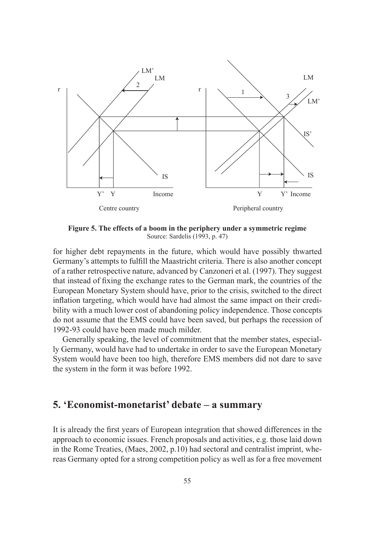

**Figure 5. The effects of a boom in the periphery under a symmetric regime** Source: Sardelis (1993, p. 47)

for higher debt repayments in the future, which would have possibly thwarted Germany's attempts to fulfill the Maastricht criteria. There is also another concept of a rather retrospective nature, advanced by Canzoneri et al. (1997). They suggest that instead of fixing the exchange rates to the German mark, the countries of the European Monetary System should have, prior to the crisis, switched to the direct inflation targeting, which would have had almost the same impact on their credibility with a much lower cost of abandoning policy independence. Those concepts do not assume that the EMS could have been saved, but perhaps the recession of 1992-93 could have been made much milder.

Generally speaking, the level of commitment that the member states, especially Germany, would have had to undertake in order to save the European Monetary System would have been too high, therefore EMS members did not dare to save the system in the form it was before 1992.

# **5. 'Economist-monetarist' debate – a summary**

It is already the first years of European integration that showed differences in the approach to economic issues. French proposals and activities, e.g. those laid down in the Rome Treaties, (Maes, 2002, p.10) had sectoral and centralist imprint, whereas Germany opted for a strong competition policy as well as for a free movement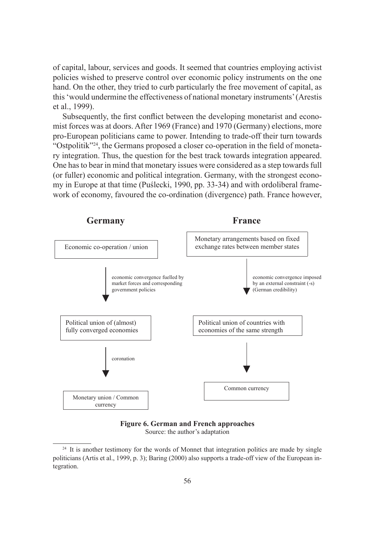of capital, labour, services and goods. It seemed that countries employing activist policies wished to preserve control over economic policy instruments on the one hand. On the other, they tried to curb particularly the free movement of capital, as this 'would undermine the effectiveness of national monetary instruments' (Arestis et al., 1999).

Subsequently, the first conflict between the developing monetarist and economist forces was at doors. After 1969 (France) and 1970 (Germany) elections, more pro-European politicians came to power. Intending to trade-off their turn towards "Ostpolitik"<sup>24</sup>, the Germans proposed a closer co-operation in the field of monetary integration. Thus, the question for the best track towards integration appeared. One has to bear in mind that monetary issues were considered as a step towards full (or fuller) economic and political integration. Germany, with the strongest economy in Europe at that time (Puślecki, 1990, pp. 33-34) and with ordoliberal framework of economy, favoured the co-ordination (divergence) path. France however,



**Figure 6. German and French approaches**

Source: the author's adaptation

<sup>&</sup>lt;sup>24</sup> It is another testimony for the words of Monnet that integration politics are made by single politicians (Artis et al., 1999, p. 3); Baring (2000) also supports a trade-off view of the European integration.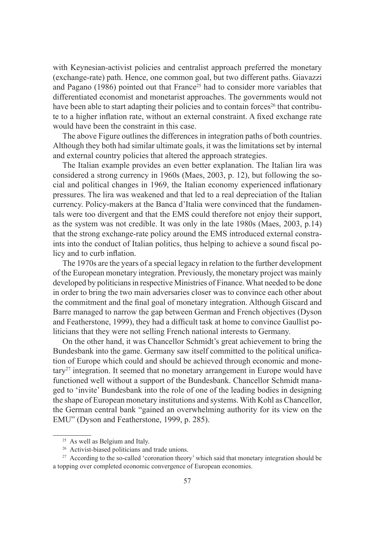with Keynesian-activist policies and centralist approach preferred the monetary (exchange-rate) path. Hence, one common goal, but two different paths. Giavazzi and Pagano  $(1986)$  pointed out that France<sup>25</sup> had to consider more variables that differentiated economist and monetarist approaches. The governments would not have been able to start adapting their policies and to contain forces<sup>26</sup> that contribute to a higher inflation rate, without an external constraint. A fixed exchange rate would have been the constraint in this case.

The above Figure outlines the differences in integration paths of both countries. Although they both had similar ultimate goals, it was the limitations set by internal and external country policies that altered the approach strategies.

The Italian example provides an even better explanation. The Italian lira was considered a strong currency in 1960s (Maes, 2003, p. 12), but following the social and political changes in 1969, the Italian economy experienced inflationary pressures. The lira was weakened and that led to a real depreciation of the Italian currency. Policy-makers at the Banca d'Italia were convinced that the fundamentals were too divergent and that the EMS could therefore not enjoy their support, as the system was not credible. It was only in the late 1980s (Maes, 2003, p.14) that the strong exchange-rate policy around the EMS introduced external constraints into the conduct of Italian politics, thus helping to achieve a sound fiscal policy and to curb inflation.

The 1970s are the years of a special legacy in relation to the further development of the European monetary integration. Previously, the monetary project was mainly developed by politicians in respective Ministries of Finance. What needed to be done in order to bring the two main adversaries closer was to convince each other about the commitment and the final goal of monetary integration. Although Giscard and Barre managed to narrow the gap between German and French objectives (Dyson and Featherstone, 1999), they had a difficult task at home to convince Gaullist politicians that they were not selling French national interests to Germany.

On the other hand, it was Chancellor Schmidt's great achievement to bring the Bundesbank into the game. Germany saw itself committed to the political unification of Europe which could and should be achieved through economic and mone $tary<sup>27</sup>$  integration. It seemed that no monetary arrangement in Europe would have functioned well without a support of the Bundesbank. Chancellor Schmidt managed to 'invite' Bundesbank into the role of one of the leading bodies in designing the shape of European monetary institutions and systems. With Kohl as Chancellor, the German central bank "gained an overwhelming authority for its view on the EMU" (Dyson and Featherstone, 1999, p. 285).

<sup>&</sup>lt;sup>25</sup> As well as Belgium and Italy.

<sup>&</sup>lt;sup>26</sup> Activist-biased politicians and trade unions.

<sup>&</sup>lt;sup>27</sup> According to the so-called 'coronation theory' which said that monetary integration should be a topping over completed economic convergence of European economies.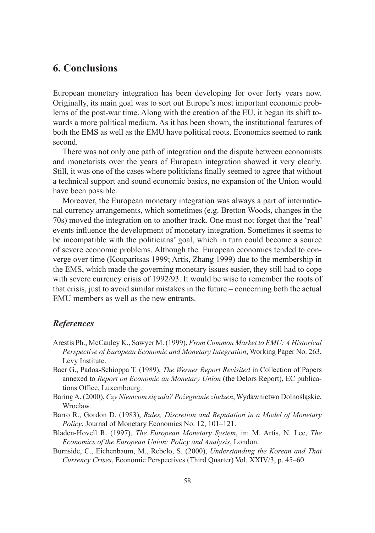## **6. Conclusions**

European monetary integration has been developing for over forty years now. Originally, its main goal was to sort out Europe's most important economic problems of the post-war time. Along with the creation of the EU, it began its shift towards a more political medium. As it has been shown, the institutional features of both the EMS as well as the EMU have political roots. Economics seemed to rank second.

There was not only one path of integration and the dispute between economists and monetarists over the years of European integration showed it very clearly. Still, it was one of the cases where politicians finally seemed to agree that without a technical support and sound economic basics, no expansion of the Union would have been possible.

Moreover, the European monetary integration was always a part of international currency arrangements, which sometimes (e.g. Bretton Woods, changes in the 70s) moved the integration on to another track. One must not forget that the 'real' events influence the development of monetary integration. Sometimes it seems to be incompatible with the politicians' goal, which in turn could become a source of severe economic problems. Although the European economies tended to converge over time (Kouparitsas 1999; Artis, Zhang 1999) due to the membership in the EMS, which made the governing monetary issues easier, they still had to cope with severe currency crisis of 1992/93. It would be wise to remember the roots of that crisis, just to avoid similar mistakes in the future – concerning both the actual EMU members as well as the new entrants.

#### *References*

- Arestis Ph., McCauley K., Sawyer M. (1999), *From Common Market to EMU: A Historical Perspective of European Economic and Monetary Integration*, Working Paper No. 263, Levy Institute.
- Baer G., Padoa-Schioppa T. (1989), *The Werner Report Revisited* in Collection of Papers annexed to *Report on Economic an Monetary Union* (the Delors Report), EC publications Office, Luxembourg.
- Baring A. (2000), *Czy Niemcom się uda? Pożegnanie złudzeń*, Wydawnictwo Dolnośląskie, Wrocław.
- Barro R., Gordon D. (1983), *Rules, Discretion and Reputation in a Model of Monetary Policy*, Journal of Monetary Economics No. 12, 101–121.
- Bladen-Hovell R. (1997), *The European Monetary System*, in: M. Artis, N. Lee, *The Economics of the European Union: Policy and Analysis*, London.
- Burnside, C., Eichenbaum, M., Rebelo, S. (2000), *Understanding the Korean and Thai Currency Crises*, Economic Perspectives (Third Quarter) Vol. XXIV/3, p. 45–60.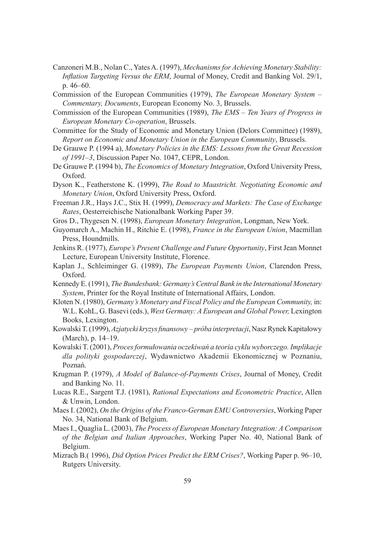- Canzoneri M.B., Nolan C., Yates A. (1997), *Mechanisms for Achieving Monetary Stability: Inflation Targeting Versus the ERM*, Journal of Money, Credit and Banking Vol. 29/1, p. 46–60.
- Commission of the European Communities (1979), *The European Monetary System Commentary, Documents*, European Economy No. 3, Brussels.
- Commission of the European Communities (1989), *The EMS Ten Years of Progress in European Monetary Co-operation*, Brussels.
- Committee for the Study of Economic and Monetary Union (Delors Committee) (1989), *Report on Economic and Monetary Union in the European Community*, Brussels.
- De Grauwe P. (1994 a), *Monetary Policies in the EMS: Lessons from the Great Recession of 1991–3*, Discussion Paper No. 1047, CEPR, London.
- De Grauwe P. (1994 b), *The Economics of Monetary Integration*, Oxford University Press, Oxford.
- Dyson K., Featherstone K. (1999), *The Road to Maastricht. Negotiating Economic and Monetary Union*, Oxford University Press, Oxford.
- Freeman J.R., Hays J.C., Stix H. (1999), *Democracy and Markets: The Case of Exchange Rates*, Oesterreichische Nationalbank Working Paper 39.
- Gros D., Thygesen N. (1998), *European Monetary Integration*, Longman, New York.
- Guyomarch A., Machin H., Ritchie E. (1998), *France in the European Union*, Macmillan Press, Houndmills.
- Jenkins R. (1977), *Europe's Present Challenge and Future Opportunity*, First Jean Monnet Lecture, European University Institute, Florence.
- Kaplan J., Schleiminger G. (1989), *The European Payments Union*, Clarendon Press, Oxford.
- Kennedy E. (1991), *The Bundesbank: Germany's Central Bank in the International Monetary System*, Printer for the Royal Institute of International Affairs, London.
- Kloten N. (1980), *Germany's Monetary and Fiscal Policy and the European Community,* in: W.L. KohL, G. Basevi (eds.), West Germany: A European and Global Power, Lexington Books, Lexington.
- Kowalski T. (1999), Azjatycki kryzys finansowy próba interpretacji, Nasz Rynek Kapitałowy (March), p. 14–19.
- Kowalski T. (2001), *Proces formułowania oczekiwań a teoria cyklu wyborczego. Implikacje dla polityki gospodarczej*, Wydawnictwo Akademii Ekonomicznej w Poznaniu, Poznań.
- Krugman P. (1979), *A Model of Balance-of-Payments Crises*, Journal of Money, Credit and Banking No. 11.
- Lucas R.E., Sargent T.J. (1981), *Rational Expectations and Econometric Practice*, Allen & Unwin, London.
- Maes I. (2002), *On the Origins of the Franco-German EMU Controversies*, Working Paper No. 34, National Bank of Belgium.
- Maes I., Quaglia L. (2003), *The Process of European Monetary Integration: A Comparison of the Belgian and Italian Approaches*, Working Paper No. 40, National Bank of Belgium.
- Mizrach B.( 1996), *Did Option Prices Predict the ERM Crises?*, Working Paper p. 96–10, Rutgers University.